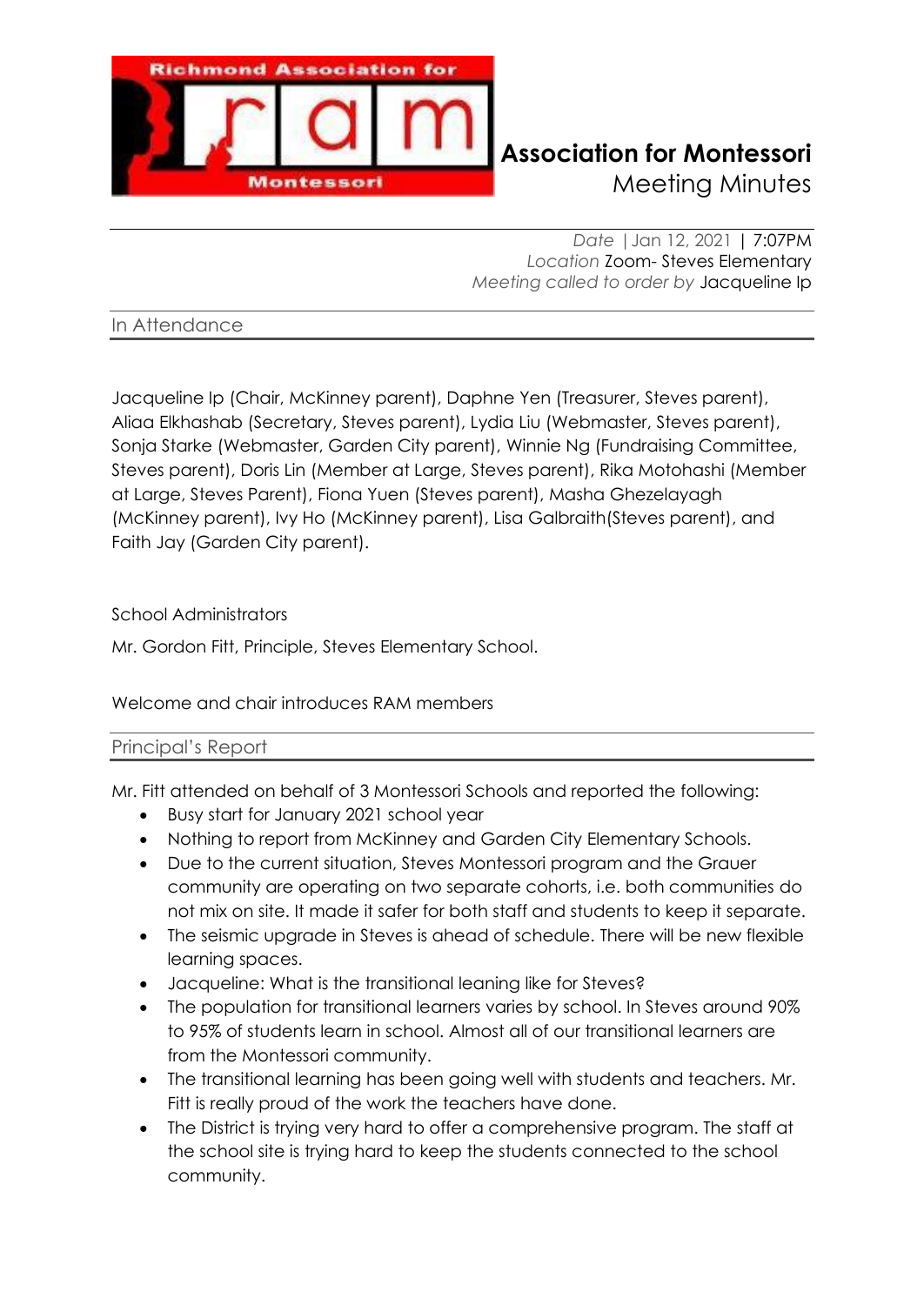

## **Richmond Association for Montessori** Meeting Minutes

*Date |*Jan 12, 2021 | 7:07PM *Location* Zoom- Steves Elementary *Meeting called to order by* Jacqueline Ip

In Attendance

Jacqueline Ip (Chair, McKinney parent), Daphne Yen (Treasurer, Steves parent), Aliaa Elkhashab (Secretary, Steves parent), Lydia Liu (Webmaster, Steves parent), Sonja Starke (Webmaster, Garden City parent), Winnie Ng (Fundraising Committee, Steves parent), Doris Lin (Member at Large, Steves parent), Rika Motohashi (Member at Large, Steves Parent), Fiona Yuen (Steves parent), Masha Ghezelayagh (McKinney parent), Ivy Ho (McKinney parent), Lisa Galbraith(Steves parent), and Faith Jay (Garden City parent).

## School Administrators

Mr. Gordon Fitt, Principle, Steves Elementary School.

Welcome and chair introduces RAM members

### Principal's Report

Mr. Fitt attended on behalf of 3 Montessori Schools and reported the following:

- Busy start for January 2021 school year
- Nothing to report from McKinney and Garden City Elementary Schools.
- Due to the current situation, Steves Montessori program and the Grauer community are operating on two separate cohorts, i.e. both communities do not mix on site. It made it safer for both staff and students to keep it separate.
- The seismic upgrade in Steves is ahead of schedule. There will be new flexible learning spaces.
- Jacqueline: What is the transitional leaning like for Steves?
- The population for transitional learners varies by school. In Steves around 90% to 95% of students learn in school. Almost all of our transitional learners are from the Montessori community.
- The transitional learning has been going well with students and teachers. Mr. Fitt is really proud of the work the teachers have done.
- The District is trying very hard to offer a comprehensive program. The staff at the school site is trying hard to keep the students connected to the school community.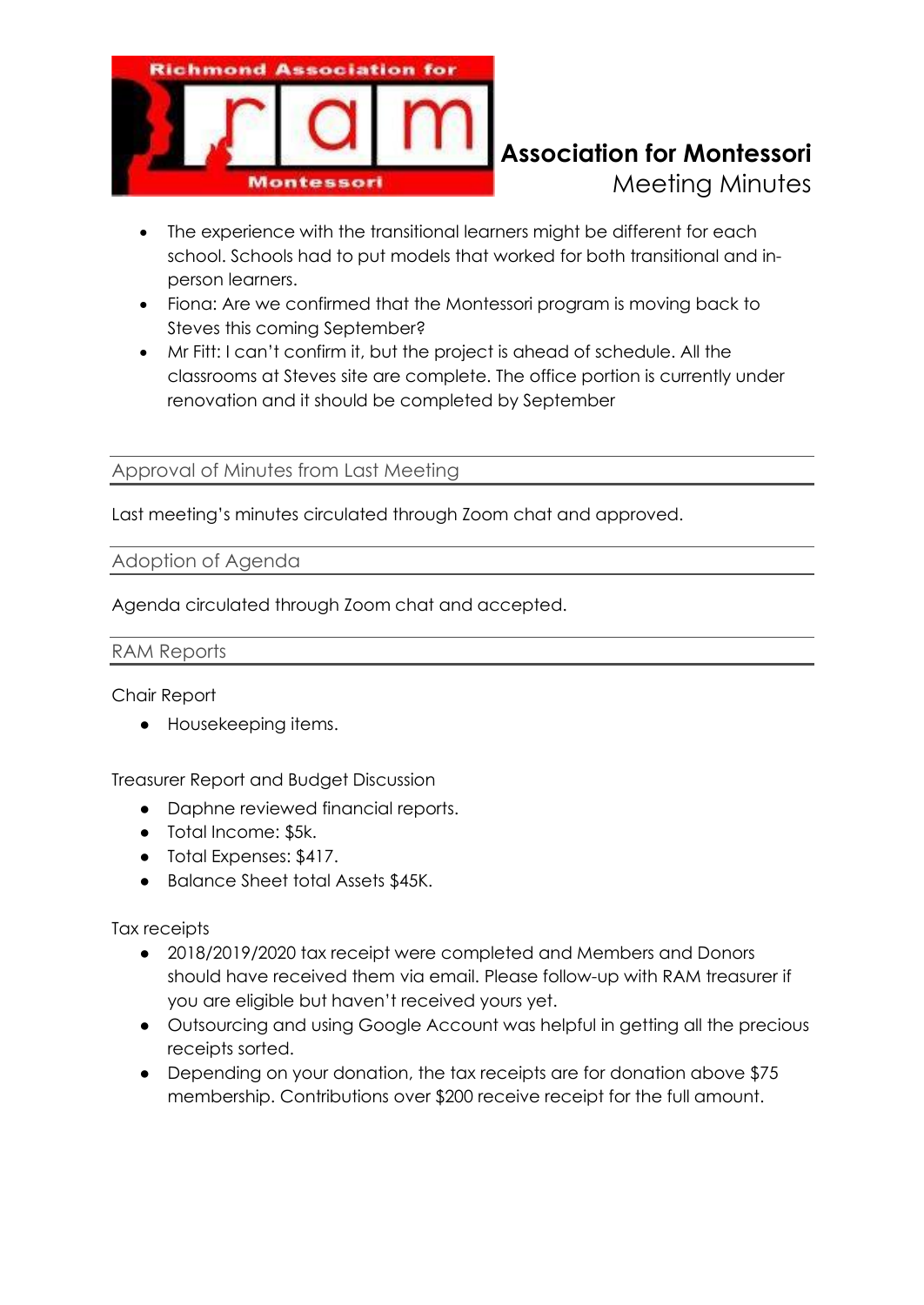

# **Richmond Association for Montessori** Meeting Minutes

- The experience with the transitional learners might be different for each school. Schools had to put models that worked for both transitional and inperson learners.
- Fiona: Are we confirmed that the Montessori program is moving back to Steves this coming September?
- Mr Fitt: I can't confirm it, but the project is ahead of schedule. All the classrooms at Steves site are complete. The office portion is currently under renovation and it should be completed by September

Approval of Minutes from Last Meeting

Last meeting's minutes circulated through Zoom chat and approved.

### Adoption of Agenda

Agenda circulated through Zoom chat and accepted.

#### RAM Reports

Chair Report

● Housekeeping items.

Treasurer Report and Budget Discussion

- Daphne reviewed financial reports.
- Total Income: \$5k.
- Total Expenses: \$417.
- Balance Sheet total Assets \$45K.

Tax receipts

- 2018/2019/2020 tax receipt were completed and Members and Donors should have received them via email. Please follow-up with RAM treasurer if you are eligible but haven't received yours yet.
- Outsourcing and using Google Account was helpful in getting all the precious receipts sorted.
- Depending on your donation, the tax receipts are for donation above \$75 membership. Contributions over \$200 receive receipt for the full amount.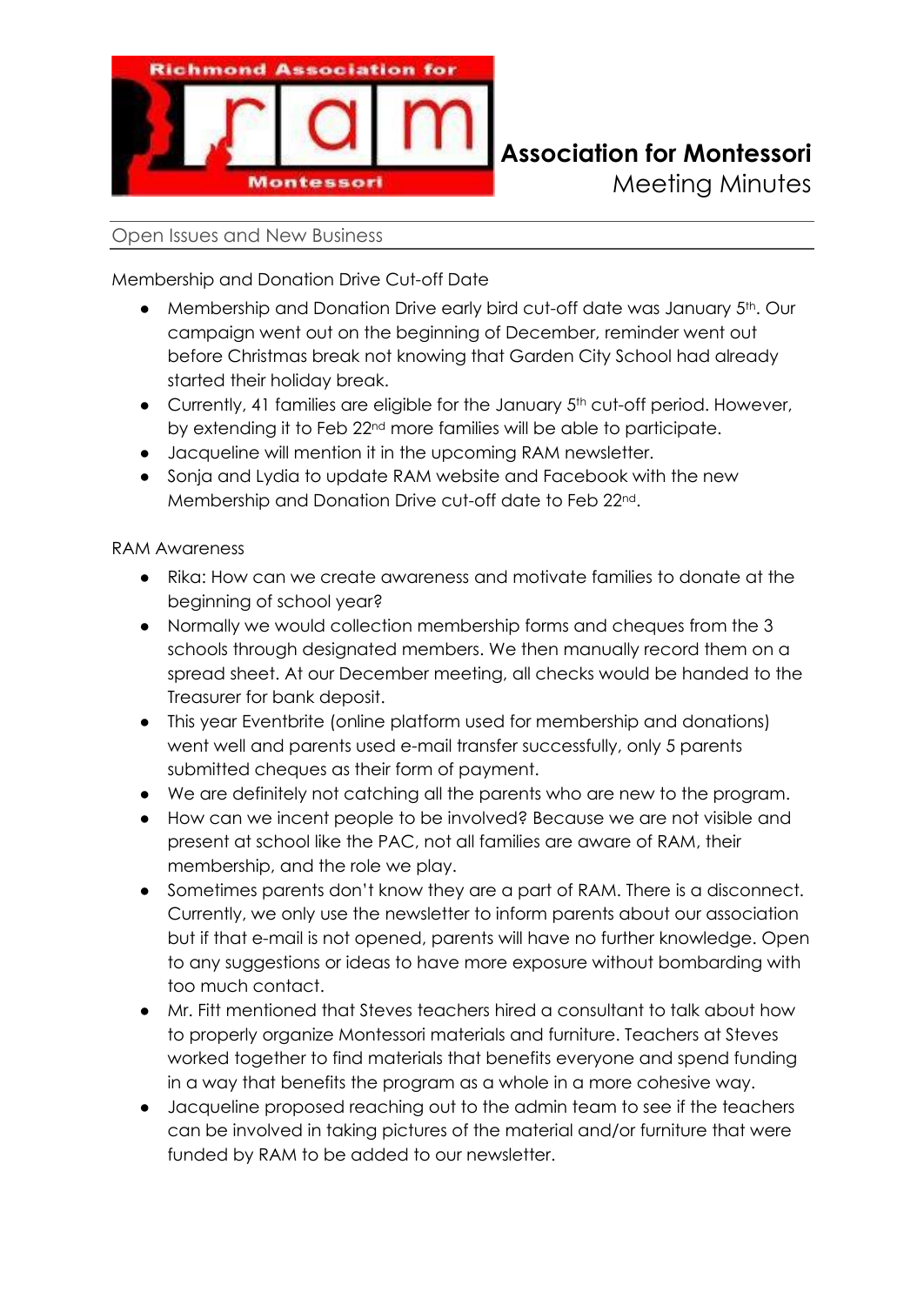

### Open Issues and New Business

Membership and Donation Drive Cut-off Date

- Membership and Donation Drive early bird cut-off date was January 5<sup>th</sup>. Our campaign went out on the beginning of December, reminder went out before Christmas break not knowing that Garden City School had already started their holiday break.
- Currently, 41 families are eligible for the January 5<sup>th</sup> cut-off period. However, by extending it to Feb 22nd more families will be able to participate.
- Jacqueline will mention it in the upcoming RAM newsletter.
- Sonja and Lydia to update RAM website and Facebook with the new Membership and Donation Drive cut-off date to Feb 22nd.

RAM Awareness

- Rika: How can we create awareness and motivate families to donate at the beginning of school year?
- Normally we would collection membership forms and cheques from the 3 schools through designated members. We then manually record them on a spread sheet. At our December meeting, all checks would be handed to the Treasurer for bank deposit.
- This year Eventbrite (online platform used for membership and donations) went well and parents used e-mail transfer successfully, only 5 parents submitted cheques as their form of payment.
- We are definitely not catching all the parents who are new to the program.
- How can we incent people to be involved? Because we are not visible and present at school like the PAC, not all families are aware of RAM, their membership, and the role we play.
- Sometimes parents don't know they are a part of RAM. There is a disconnect. Currently, we only use the newsletter to inform parents about our association but if that e-mail is not opened, parents will have no further knowledge. Open to any suggestions or ideas to have more exposure without bombarding with too much contact.
- Mr. Fitt mentioned that Steves teachers hired a consultant to talk about how to properly organize Montessori materials and furniture. Teachers at Steves worked together to find materials that benefits everyone and spend funding in a way that benefits the program as a whole in a more cohesive way.
- Jacqueline proposed reaching out to the admin team to see if the teachers can be involved in taking pictures of the material and/or furniture that were funded by RAM to be added to our newsletter.